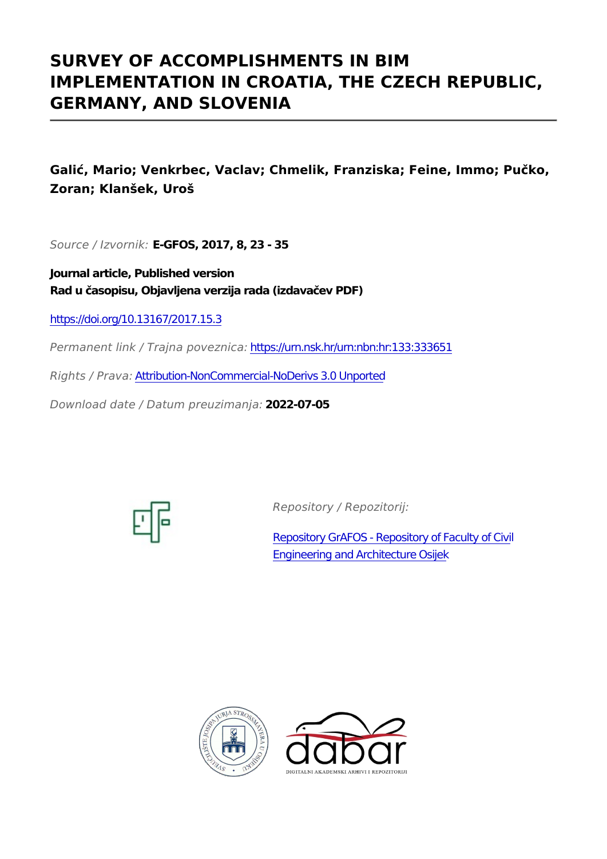# **SURVEY OF ACCOMPLISHMENTS IN BIM IMPLEMENTATION IN CROATIA, THE CZECH REPUBLIC, GERMANY, AND SLOVENIA**

**Galić, Mario; Venkrbec, Vaclav; Chmelik, Franziska; Feine, Immo; Pučko, Zoran; Klanšek, Uroš**

*Source / Izvornik:* **E-GFOS, 2017, 8, 23 - 35**

**Journal article, Published version Rad u časopisu, Objavljena verzija rada (izdavačev PDF)**

<https://doi.org/10.13167/2017.15.3>

*Permanent link / Trajna poveznica:* <https://urn.nsk.hr/urn:nbn:hr:133:333651>

*Rights / Prava:* [Attribution-NonCommercial-NoDerivs 3.0 Unported](http://creativecommons.org/licenses/by-nc-nd/3.0/)

*Download date / Datum preuzimanja:* **2022-07-05**



*Repository / Repozitorij:*

[Repository GrAFOS - Repository of Faculty of Civi](https://repozitorij.gfos.hr)l [Engineering and Architecture Osijek](https://repozitorij.gfos.hr)



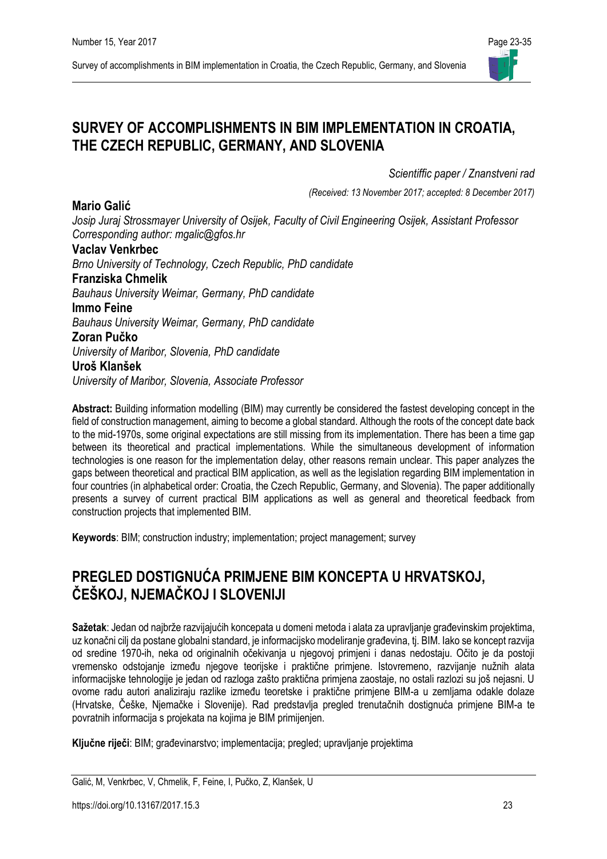## **SURVEY OF ACCOMPLISHMENTS IN BIM IMPLEMENTATION IN CROATIA, THE CZECH REPUBLIC, GERMANY, AND SLOVENIA**

*Scientiffic paper / Znanstveni rad*

*(Received: 13 November 2017; accepted: 8 December 2017)*

*Josip Juraj Strossmayer University of Osijek, Faculty of Civil Engineering Osijek, Assistant Professor Corresponding author: mgalic@gfos.hr*

#### **Vaclav Venkrbec**

*Brno University of Technology, Czech Republic, PhD candidate*

#### **Franziska Chmelik**

*Bauhaus University Weimar, Germany, PhD candidate*

**Immo Feine**

**Mario Galić**

*Bauhaus University Weimar, Germany, PhD candidate*

#### **Zoran Pučko**

*University of Maribor, Slovenia, PhD candidate*

#### **Uroš Klanšek**

*University of Maribor, Slovenia, Associate Professor* 

**Abstract:** Building information modelling (BIM) may currently be considered the fastest developing concept in the field of construction management, aiming to become a global standard. Although the roots of the concept date back to the mid-1970s, some original expectations are still missing from its implementation. There has been a time gap between its theoretical and practical implementations. While the simultaneous development of information technologies is one reason for the implementation delay, other reasons remain unclear. This paper analyzes the gaps between theoretical and practical BIM application, as well as the legislation regarding BIM implementation in four countries (in alphabetical order: Croatia, the Czech Republic, Germany, and Slovenia). The paper additionally presents a survey of current practical BIM applications as well as general and theoretical feedback from construction projects that implemented BIM.

**Keywords**: BIM; construction industry; implementation; project management; survey

# **PREGLED DOSTIGNUĆA PRIMJENE BIM KONCEPTA U HRVATSKOJ, ČEŠKOJ, NJEMAČKOJ I SLOVENIJI**

**Sažetak**: Jedan od najbrže razvijajućih koncepata u domeni metoda i alata za upravljanje građevinskim projektima, uz konačni cilj da postane globalni standard, je informacijsko modeliranje građevina, tj. BIM. Iako se koncept razvija od sredine 1970-ih, neka od originalnih očekivanja u njegovoj primjeni i danas nedostaju. Očito je da postoji vremensko odstojanje između njegove teorijske i praktične primjene. Istovremeno, razvijanje nužnih alata informacijske tehnologije je jedan od razloga zašto praktična primjena zaostaje, no ostali razlozi su još nejasni. U ovome radu autori analiziraju razlike između teoretske i praktične primjene BIM-a u zemljama odakle dolaze (Hrvatske, Češke, Njemačke i Slovenije). Rad predstavlja pregled trenutačnih dostignuća primjene BIM-a te povratnih informacija s projekata na kojima je BIM primijenjen.

**Ključne riječi**: BIM; građevinarstvo; implementacija; pregled; upravljanje projektima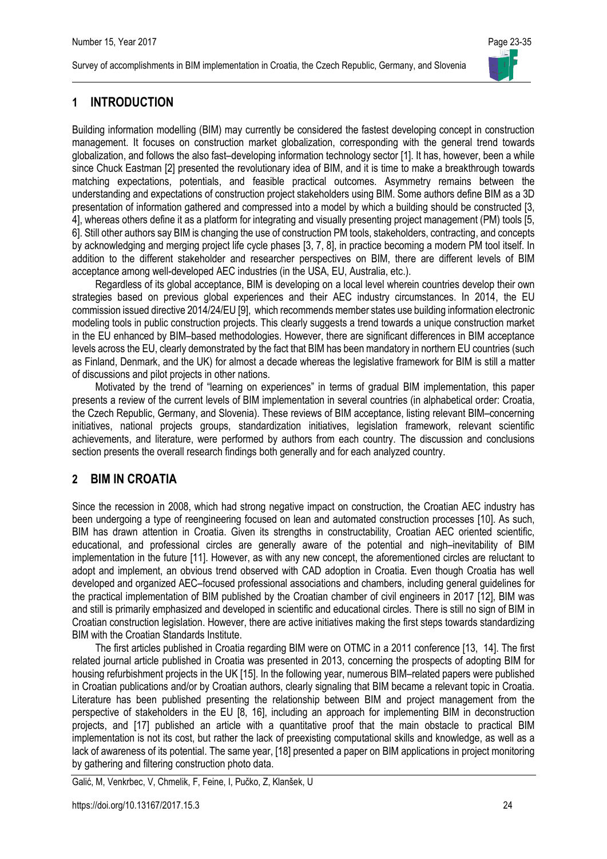### **1 INTRODUCTION**

Building information modelling (BIM) may currently be considered the fastest developing concept in construction management. It focuses on construction market globalization, corresponding with the general trend towards globalization, and follows the also fast–developing information technology sector [1]. It has, however, been a while since Chuck Eastman [2] presented the revolutionary idea of BIM, and it is time to make a breakthrough towards matching expectations, potentials, and feasible practical outcomes. Asymmetry remains between the understanding and expectations of construction project stakeholders using BIM. Some authors define BIM as a 3D presentation of information gathered and compressed into a model by which a building should be constructed [3, 4], whereas others define it as a platform for integrating and visually presenting project management (PM) tools [5, 6]. Still other authors say BIM is changing the use of construction PM tools, stakeholders, contracting, and concepts by acknowledging and merging project life cycle phases [3, 7, 8], in practice becoming a modern PM tool itself. In addition to the different stakeholder and researcher perspectives on BIM, there are different levels of BIM acceptance among well-developed AEC industries (in the USA, EU, Australia, etc.).

Regardless of its global acceptance, BIM is developing on a local level wherein countries develop their own strategies based on previous global experiences and their AEC industry circumstances. In 2014, the EU commission issued directive 2014/24/EU [9], which recommends member states use building information electronic modeling tools in public construction projects. This clearly suggests a trend towards a unique construction market in the EU enhanced by BIM–based methodologies. However, there are significant differences in BIM acceptance levels across the EU, clearly demonstrated by the fact that BIM has been mandatory in northern EU countries (such as Finland, Denmark, and the UK) for almost a decade whereas the legislative framework for BIM is still a matter of discussions and pilot projects in other nations.

Motivated by the trend of "learning on experiences" in terms of gradual BIM implementation, this paper presents a review of the current levels of BIM implementation in several countries (in alphabetical order: Croatia, the Czech Republic, Germany, and Slovenia). These reviews of BIM acceptance, listing relevant BIM–concerning initiatives, national projects groups, standardization initiatives, legislation framework, relevant scientific achievements, and literature, were performed by authors from each country. The discussion and conclusions section presents the overall research findings both generally and for each analyzed country.

### **2 BIM IN CROATIA**

Since the recession in 2008, which had strong negative impact on construction, the Croatian AEC industry has been undergoing a type of reengineering focused on lean and automated construction processes [10]. As such, BIM has drawn attention in Croatia. Given its strengths in constructability, Croatian AEC oriented scientific, educational, and professional circles are generally aware of the potential and nigh–inevitability of BIM implementation in the future [11]. However, as with any new concept, the aforementioned circles are reluctant to adopt and implement, an obvious trend observed with CAD adoption in Croatia. Even though Croatia has well developed and organized AEC–focused professional associations and chambers, including general guidelines for the practical implementation of BIM published by the Croatian chamber of civil engineers in 2017 [12], BIM was and still is primarily emphasized and developed in scientific and educational circles. There is still no sign of BIM in Croatian construction legislation. However, there are active initiatives making the first steps towards standardizing BIM with the Croatian Standards Institute.

The first articles published in Croatia regarding BIM were on OTMC in a 2011 conference [13, 14]. The first related journal article published in Croatia was presented in 2013, concerning the prospects of adopting BIM for housing refurbishment projects in the UK [15]. In the following year, numerous BIM–related papers were published in Croatian publications and/or by Croatian authors, clearly signaling that BIM became a relevant topic in Croatia. Literature has been published presenting the relationship between BIM and project management from the perspective of stakeholders in the EU [8, 16], including an approach for implementing BIM in deconstruction projects, and [17] published an article with a quantitative proof that the main obstacle to practical BIM implementation is not its cost, but rather the lack of preexisting computational skills and knowledge, as well as a lack of awareness of its potential. The same year, [18] presented a paper on BIM applications in project monitoring by gathering and filtering construction photo data.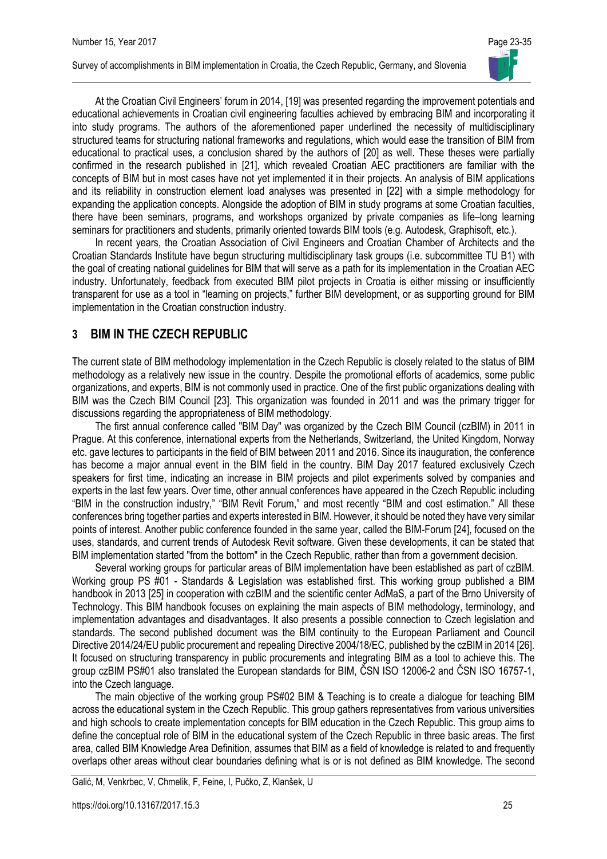

At the Croatian Civil Engineers' forum in 2014, [19] was presented regarding the improvement potentials and educational achievements in Croatian civil engineering faculties achieved by embracing BIM and incorporating it into study programs. The authors of the aforementioned paper underlined the necessity of multidisciplinary structured teams for structuring national frameworks and regulations, which would ease the transition of BIM from educational to practical uses, a conclusion shared by the authors of [20] as well. These theses were partially confirmed in the research published in [21], which revealed Croatian AEC practitioners are familiar with the concepts of BIM but in most cases have not yet implemented it in their projects. An analysis of BIM applications and its reliability in construction element load analyses was presented in [22] with a simple methodology for expanding the application concepts. Alongside the adoption of BIM in study programs at some Croatian faculties, there have been seminars, programs, and workshops organized by private companies as life–long learning seminars for practitioners and students, primarily oriented towards BIM tools (e.g. Autodesk, Graphisoft, etc.).

In recent years, the Croatian Association of Civil Engineers and Croatian Chamber of Architects and the Croatian Standards Institute have begun structuring multidisciplinary task groups (i.e. subcommittee TU B1) with the goal of creating national guidelines for BIM that will serve as a path for its implementation in the Croatian AEC industry. Unfortunately, feedback from executed BIM pilot projects in Croatia is either missing or insufficiently transparent for use as a tool in "learning on projects," further BIM development, or as supporting ground for BIM implementation in the Croatian construction industry.

### **3 BIM IN THE CZECH REPUBLIC**

The current state of BIM methodology implementation in the Czech Republic is closely related to the status of BIM methodology as a relatively new issue in the country. Despite the promotional efforts of academics, some public organizations, and experts, BIM is not commonly used in practice. One of the first public organizations dealing with BIM was the Czech BIM Council [23]. This organization was founded in 2011 and was the primary trigger for discussions regarding the appropriateness of BIM methodology.

The first annual conference called "BIM Day" was organized by the Czech BIM Council (czBIM) in 2011 in Prague. At this conference, international experts from the Netherlands, Switzerland, the United Kingdom, Norway etc. gave lectures to participants in the field of BIM between 2011 and 2016. Since its inauguration, the conference has become a major annual event in the BIM field in the country. BIM Day 2017 featured exclusively Czech speakers for first time, indicating an increase in BIM projects and pilot experiments solved by companies and experts in the last few years. Over time, other annual conferences have appeared in the Czech Republic including "BIM in the construction industry," "BIM Revit Forum," and most recently "BIM and cost estimation." All these conferences bring together parties and experts interested in BIM. However, it should be noted they have very similar points of interest. Another public conference founded in the same year, called the BIM-Forum [24], focused on the uses, standards, and current trends of Autodesk Revit software. Given these developments, it can be stated that BIM implementation started "from the bottom" in the Czech Republic, rather than from a government decision.

Several working groups for particular areas of BIM implementation have been established as part of czBIM. Working group PS #01 - Standards & Legislation was established first. This working group published a BIM handbook in 2013 [25] in cooperation with czBIM and the scientific center AdMaS, a part of the Brno University of Technology. This BIM handbook focuses on explaining the main aspects of BIM methodology, terminology, and implementation advantages and disadvantages. It also presents a possible connection to Czech legislation and standards. The second published document was the BIM continuity to the European Parliament and Council Directive 2014/24/EU public procurement and repealing Directive 2004/18/EC, published by the czBIM in 2014 [26]. It focused on structuring transparency in public procurements and integrating BIM as a tool to achieve this. The group czBIM PS#01 also translated the European standards for BIM, ČSN ISO 12006-2 and ČSN ISO 16757-1, into the Czech language.

The main objective of the working group PS#02 BIM & Teaching is to create a dialogue for teaching BIM across the educational system in the Czech Republic. This group gathers representatives from various universities and high schools to create implementation concepts for BIM education in the Czech Republic. This group aims to define the conceptual role of BIM in the educational system of the Czech Republic in three basic areas. The first area, called BIM Knowledge Area Definition, assumes that BIM as a field of knowledge is related to and frequently overlaps other areas without clear boundaries defining what is or is not defined as BIM knowledge. The second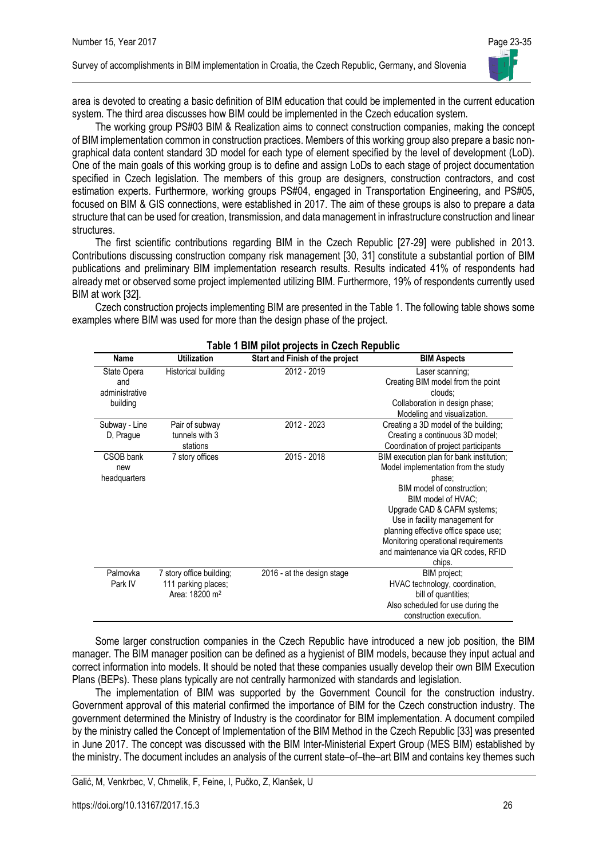

area is devoted to creating a basic definition of BIM education that could be implemented in the current education system. The third area discusses how BIM could be implemented in the Czech education system.

The working group PS#03 BIM & Realization aims to connect construction companies, making the concept of BIM implementation common in construction practices. Members of this working group also prepare a basic nongraphical data content standard 3D model for each type of element specified by the level of development (LoD). One of the main goals of this working group is to define and assign LoDs to each stage of project documentation specified in Czech legislation. The members of this group are designers, construction contractors, and cost estimation experts. Furthermore, working groups PS#04, engaged in Transportation Engineering, and PS#05, focused on BIM & GIS connections, were established in 2017. The aim of these groups is also to prepare a data structure that can be used for creation, transmission, and data management in infrastructure construction and linear structures.

The first scientific contributions regarding BIM in the Czech Republic [27-29] were published in 2013. Contributions discussing construction company risk management [30, 31] constitute a substantial portion of BIM publications and preliminary BIM implementation research results. Results indicated 41% of respondents had already met or observed some project implemented utilizing BIM. Furthermore, 19% of respondents currently used BIM at work [32].

Czech construction projects implementing BIM are presented in the Table 1. The following table shows some examples where BIM was used for more than the design phase of the project.

| Name                                 | <b>Utilization</b>                                                            | Start and Finish of the project | <b>BIM Aspects</b>                                                                                                                                                                                                                                                                                                                            |
|--------------------------------------|-------------------------------------------------------------------------------|---------------------------------|-----------------------------------------------------------------------------------------------------------------------------------------------------------------------------------------------------------------------------------------------------------------------------------------------------------------------------------------------|
| State Opera<br>and<br>administrative | Historical building                                                           | 2012 - 2019                     | Laser scanning;<br>Creating BIM model from the point<br>clouds:                                                                                                                                                                                                                                                                               |
| building                             |                                                                               |                                 | Collaboration in design phase;<br>Modeling and visualization.                                                                                                                                                                                                                                                                                 |
| Subway - Line<br>D, Prague           | Pair of subway<br>tunnels with 3<br>stations                                  | 2012 - 2023                     | Creating a 3D model of the building;<br>Creating a continuous 3D model;<br>Coordination of project participants                                                                                                                                                                                                                               |
| CSOB bank<br>new<br>headquarters     | 7 story offices                                                               | 2015 - 2018                     | BIM execution plan for bank institution;<br>Model implementation from the study<br>phase;<br>BIM model of construction;<br>BIM model of HVAC;<br>Upgrade CAD & CAFM systems;<br>Use in facility management for<br>planning effective office space use;<br>Monitoring operational requirements<br>and maintenance via QR codes, RFID<br>chips. |
| Palmovka<br>Park IV                  | 7 story office building;<br>111 parking places;<br>Area: 18200 m <sup>2</sup> | 2016 - at the design stage      | BIM project;<br>HVAC technology, coordination,<br>bill of quantities;<br>Also scheduled for use during the<br>construction execution.                                                                                                                                                                                                         |

#### **Table 1 BIM pilot projects in Czech Republic**

Some larger construction companies in the Czech Republic have introduced a new job position, the BIM manager. The BIM manager position can be defined as a hygienist of BIM models, because they input actual and correct information into models. It should be noted that these companies usually develop their own BIM Execution Plans (BEPs). These plans typically are not centrally harmonized with standards and legislation.

The implementation of BIM was supported by the Government Council for the construction industry. Government approval of this material confirmed the importance of BIM for the Czech construction industry. The government determined the Ministry of Industry is the coordinator for BIM implementation. A document compiled by the ministry called the Concept of Implementation of the BIM Method in the Czech Republic [33] was presented in June 2017. The concept was discussed with the BIM Inter-Ministerial Expert Group (MES BIM) established by the ministry. The document includes an analysis of the current state–of–the–art BIM and contains key themes such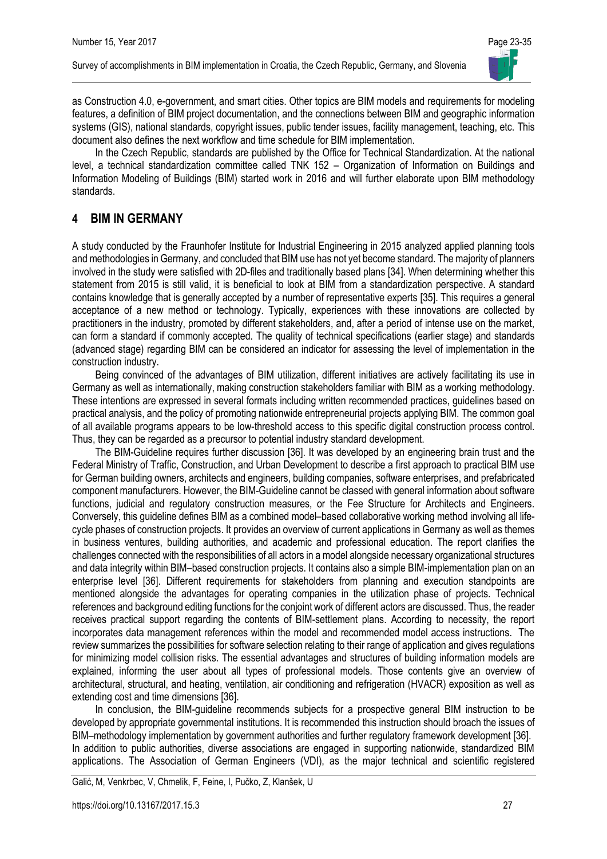

as Construction 4.0, e-government, and smart cities. Other topics are BIM models and requirements for modeling features, a definition of BIM project documentation, and the connections between BIM and geographic information systems (GIS), national standards, copyright issues, public tender issues, facility management, teaching, etc. This document also defines the next workflow and time schedule for BIM implementation.

In the Czech Republic, standards are published by the Office for Technical Standardization. At the national level, a technical standardization committee called TNK 152 – Organization of Information on Buildings and Information Modeling of Buildings (BIM) started work in 2016 and will further elaborate upon BIM methodology standards.

### **4 BIM IN GERMANY**

A study conducted by the Fraunhofer Institute for Industrial Engineering in 2015 analyzed applied planning tools and methodologies in Germany, and concluded that BIM use has not yet become standard. The majority of planners involved in the study were satisfied with 2D-files and traditionally based plans [34]. When determining whether this statement from 2015 is still valid, it is beneficial to look at BIM from a standardization perspective. A standard contains knowledge that is generally accepted by a number of representative experts [35]. This requires a general acceptance of a new method or technology. Typically, experiences with these innovations are collected by practitioners in the industry, promoted by different stakeholders, and, after a period of intense use on the market, can form a standard if commonly accepted. The quality of technical specifications (earlier stage) and standards (advanced stage) regarding BIM can be considered an indicator for assessing the level of implementation in the construction industry.

Being convinced of the advantages of BIM utilization, different initiatives are actively facilitating its use in Germany as well as internationally, making construction stakeholders familiar with BIM as a working methodology. These intentions are expressed in several formats including written recommended practices, guidelines based on practical analysis, and the policy of promoting nationwide entrepreneurial projects applying BIM. The common goal of all available programs appears to be low-threshold access to this specific digital construction process control. Thus, they can be regarded as a precursor to potential industry standard development.

The BIM-Guideline requires further discussion [36]. It was developed by an engineering brain trust and the Federal Ministry of Traffic, Construction, and Urban Development to describe a first approach to practical BIM use for German building owners, architects and engineers, building companies, software enterprises, and prefabricated component manufacturers. However, the BIM-Guideline cannot be classed with general information about software functions, judicial and regulatory construction measures, or the Fee Structure for Architects and Engineers. Conversely, this guideline defines BIM as a combined model–based collaborative working method involving all lifecycle phases of construction projects. It provides an overview of current applications in Germany as well as themes in business ventures, building authorities, and academic and professional education. The report clarifies the challenges connected with the responsibilities of all actors in a model alongside necessary organizational structures and data integrity within BIM–based construction projects. It contains also a simple BIM-implementation plan on an enterprise level [36]. Different requirements for stakeholders from planning and execution standpoints are mentioned alongside the advantages for operating companies in the utilization phase of projects. Technical references and background editing functions for the conjoint work of different actors are discussed. Thus, the reader receives practical support regarding the contents of BIM-settlement plans. According to necessity, the report incorporates data management references within the model and recommended model access instructions. The review summarizes the possibilities for software selection relating to their range of application and gives regulations for minimizing model collision risks. The essential advantages and structures of building information models are explained, informing the user about all types of professional models. Those contents give an overview of architectural, structural, and heating, ventilation, air conditioning and refrigeration (HVACR) exposition as well as extending cost and time dimensions [36].

In conclusion, the BIM-guideline recommends subjects for a prospective general BIM instruction to be developed by appropriate governmental institutions. It is recommended this instruction should broach the issues of BIM–methodology implementation by government authorities and further regulatory framework development [36]. In addition to public authorities, diverse associations are engaged in supporting nationwide, standardized BIM applications. The Association of German Engineers (VDI), as the major technical and scientific registered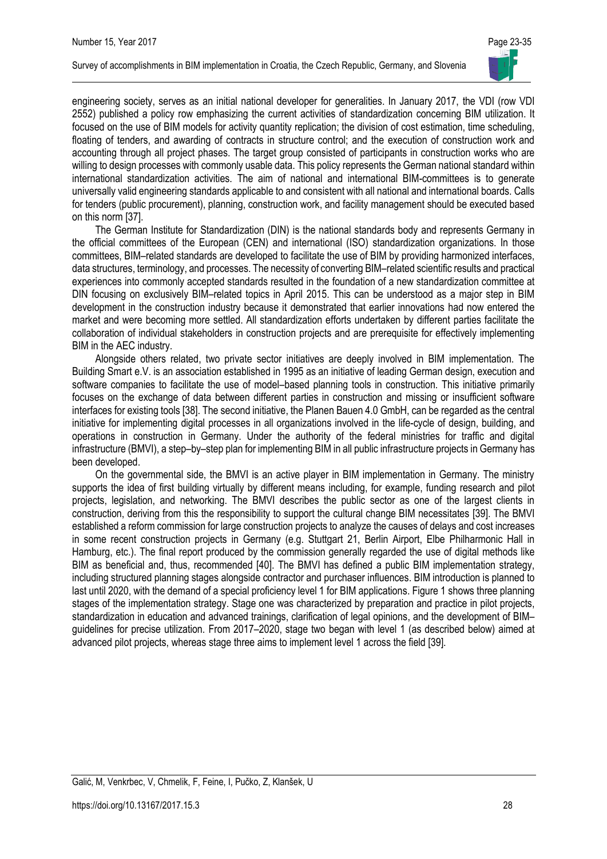

engineering society, serves as an initial national developer for generalities. In January 2017, the VDI (row VDI 2552) published a policy row emphasizing the current activities of standardization concerning BIM utilization. It focused on the use of BIM models for activity quantity replication; the division of cost estimation, time scheduling, floating of tenders, and awarding of contracts in structure control; and the execution of construction work and accounting through all project phases. The target group consisted of participants in construction works who are willing to design processes with commonly usable data. This policy represents the German national standard within international standardization activities. The aim of national and international BIM-committees is to generate universally valid engineering standards applicable to and consistent with all national and international boards. Calls for tenders (public procurement), planning, construction work, and facility management should be executed based on this norm [37].

The German Institute for Standardization (DIN) is the national standards body and represents Germany in the official committees of the European (CEN) and international (ISO) standardization organizations. In those committees, BIM–related standards are developed to facilitate the use of BIM by providing harmonized interfaces, data structures, terminology, and processes. The necessity of converting BIM–related scientific results and practical experiences into commonly accepted standards resulted in the foundation of a new standardization committee at DIN focusing on exclusively BIM–related topics in April 2015. This can be understood as a major step in BIM development in the construction industry because it demonstrated that earlier innovations had now entered the market and were becoming more settled. All standardization efforts undertaken by different parties facilitate the collaboration of individual stakeholders in construction projects and are prerequisite for effectively implementing BIM in the AEC industry.

Alongside others related, two private sector initiatives are deeply involved in BIM implementation. The Building Smart e.V. is an association established in 1995 as an initiative of leading German design, execution and software companies to facilitate the use of model–based planning tools in construction. This initiative primarily focuses on the exchange of data between different parties in construction and missing or insufficient software interfaces for existing tools [38]. The second initiative, the Planen Bauen 4.0 GmbH, can be regarded as the central initiative for implementing digital processes in all organizations involved in the life-cycle of design, building, and operations in construction in Germany. Under the authority of the federal ministries for traffic and digital infrastructure (BMVI), a step–by–step plan for implementing BIM in all public infrastructure projects in Germany has been developed.

On the governmental side, the BMVI is an active player in BIM implementation in Germany. The ministry supports the idea of first building virtually by different means including, for example, funding research and pilot projects, legislation, and networking. The BMVI describes the public sector as one of the largest clients in construction, deriving from this the responsibility to support the cultural change BIM necessitates [39]. The BMVI established a reform commission for large construction projects to analyze the causes of delays and cost increases in some recent construction projects in Germany (e.g. Stuttgart 21, Berlin Airport, Elbe Philharmonic Hall in Hamburg, etc.). The final report produced by the commission generally regarded the use of digital methods like BIM as beneficial and, thus, recommended [40]. The BMVI has defined a public BIM implementation strategy, including structured planning stages alongside contractor and purchaser influences. BIM introduction is planned to last until 2020, with the demand of a special proficiency level 1 for BIM applications. Figure 1 shows three planning stages of the implementation strategy. Stage one was characterized by preparation and practice in pilot projects, standardization in education and advanced trainings, clarification of legal opinions, and the development of BIM– guidelines for precise utilization. From 2017–2020, stage two began with level 1 (as described below) aimed at advanced pilot projects, whereas stage three aims to implement level 1 across the field [39].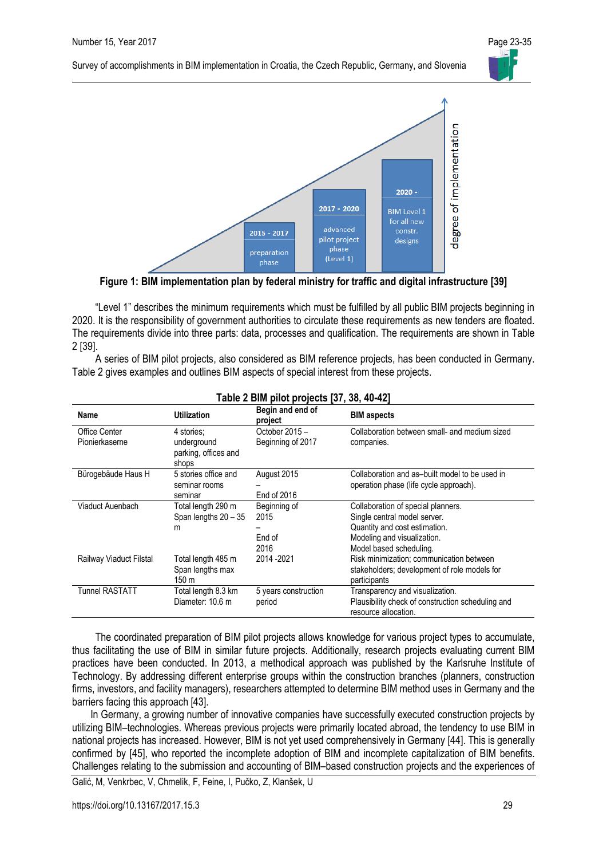

**Figure 1: BIM implementation plan by federal ministry for traffic and digital infrastructure [39]**

"Level 1" describes the minimum requirements which must be fulfilled by all public BIM projects beginning in 2020. It is the responsibility of government authorities to circulate these requirements as new tenders are floated. The requirements divide into three parts: data, processes and qualification. The requirements are shown in Table 2 [39].

A series of BIM pilot projects, also considered as BIM reference projects, has been conducted in Germany. Table 2 gives examples and outlines BIM aspects of special interest from these projects.

| Name                                   | Utilization                                                | Begin and end of<br>project            | <b>BIM</b> aspects                                                                                                                                            |
|----------------------------------------|------------------------------------------------------------|----------------------------------------|---------------------------------------------------------------------------------------------------------------------------------------------------------------|
| <b>Office Center</b><br>Pionierkaserne | 4 stories:<br>underground<br>parking, offices and<br>shops | October 2015 -<br>Beginning of 2017    | Collaboration between small- and medium sized<br>companies.                                                                                                   |
| Bürogebäude Haus H                     | 5 stories office and<br>seminar rooms<br>seminar           | August 2015<br>End of 2016             | Collaboration and as-built model to be used in<br>operation phase (life cycle approach).                                                                      |
| Viaduct Auenbach                       | Total length 290 m<br>Span lengths 20 - 35<br>m            | Beginning of<br>2015<br>End of<br>2016 | Collaboration of special planners.<br>Single central model server.<br>Quantity and cost estimation.<br>Modeling and visualization.<br>Model based scheduling. |
| Railway Viaduct Filstal                | Total length 485 m<br>Span lengths max<br>150 m            | 2014 - 2021                            | Risk minimization; communication between<br>stakeholders; development of role models for<br>participants                                                      |
| <b>Tunnel RASTATT</b>                  | Total length 8.3 km<br>Diameter: 10.6 m                    | 5 years construction<br>period         | Transparency and visualization.<br>Plausibility check of construction scheduling and<br>resource allocation.                                                  |

#### **Table 2 BIM pilot projects [37, 38, 40-42]**

The coordinated preparation of BIM pilot projects allows knowledge for various project types to accumulate, thus facilitating the use of BIM in similar future projects. Additionally, research projects evaluating current BIM practices have been conducted. In 2013, a methodical approach was published by the Karlsruhe Institute of Technology. By addressing different enterprise groups within the construction branches (planners, construction firms, investors, and facility managers), researchers attempted to determine BIM method uses in Germany and the barriers facing this approach [43].

In Germany, a growing number of innovative companies have successfully executed construction projects by utilizing BIM–technologies. Whereas previous projects were primarily located abroad, the tendency to use BIM in national projects has increased. However, BIM is not yet used comprehensively in Germany [44]. This is generally confirmed by [45], who reported the incomplete adoption of BIM and incomplete capitalization of BIM benefits. Challenges relating to the submission and accounting of BIM–based construction projects and the experiences of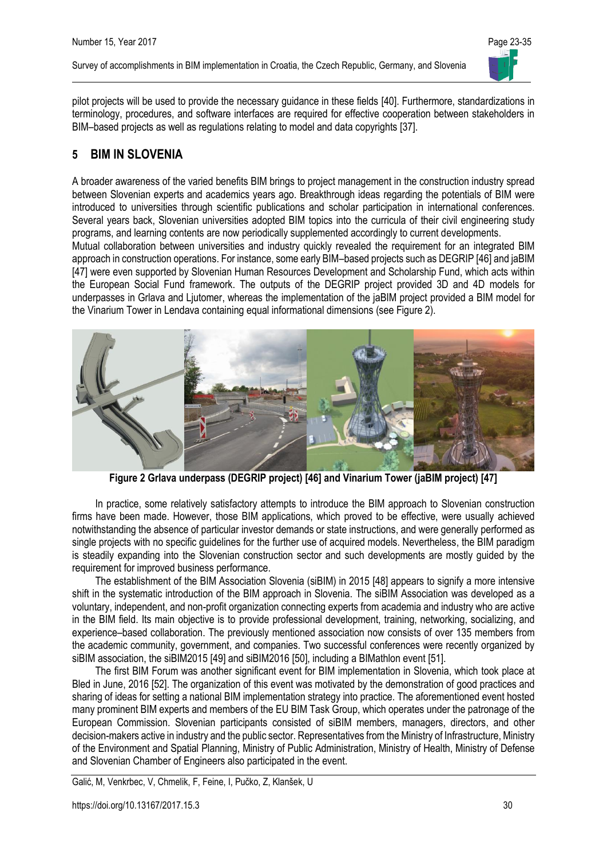

pilot projects will be used to provide the necessary guidance in these fields [40]. Furthermore, standardizations in terminology, procedures, and software interfaces are required for effective cooperation between stakeholders in BIM–based projects as well as regulations relating to model and data copyrights [37].

### **5 BIM IN SLOVENIA**

A broader awareness of the varied benefits BIM brings to project management in the construction industry spread between Slovenian experts and academics years ago. Breakthrough ideas regarding the potentials of BIM were introduced to universities through scientific publications and scholar participation in international conferences. Several years back, Slovenian universities adopted BIM topics into the curricula of their civil engineering study programs, and learning contents are now periodically supplemented accordingly to current developments.

Mutual collaboration between universities and industry quickly revealed the requirement for an integrated BIM approach in construction operations. For instance, some early BIM–based projects such as DEGRIP [46] and jaBIM [47] were even supported by Slovenian Human Resources Development and Scholarship Fund, which acts within the European Social Fund framework. The outputs of the DEGRIP project provided 3D and 4D models for underpasses in Grlava and Ljutomer, whereas the implementation of the jaBIM project provided a BIM model for the Vinarium Tower in Lendava containing equal informational dimensions (see Figure 2).



**Figure 2 Grlava underpass (DEGRIP project) [46] and Vinarium Tower (jaBIM project) [47]**

In practice, some relatively satisfactory attempts to introduce the BIM approach to Slovenian construction firms have been made. However, those BIM applications, which proved to be effective, were usually achieved notwithstanding the absence of particular investor demands or state instructions, and were generally performed as single projects with no specific guidelines for the further use of acquired models. Nevertheless, the BIM paradigm is steadily expanding into the Slovenian construction sector and such developments are mostly guided by the requirement for improved business performance.

The establishment of the BIM Association Slovenia (siBIM) in 2015 [48] appears to signify a more intensive shift in the systematic introduction of the BIM approach in Slovenia. The siBIM Association was developed as a voluntary, independent, and non-profit organization connecting experts from academia and industry who are active in the BIM field. Its main objective is to provide professional development, training, networking, socializing, and experience–based collaboration. The previously mentioned association now consists of over 135 members from the academic community, government, and companies. Two successful conferences were recently organized by siBIM association, the siBIM2015 [49] and siBIM2016 [50], including a BIMathlon event [51].

The first BIM Forum was another significant event for BIM implementation in Slovenia, which took place at Bled in June, 2016 [52]. The organization of this event was motivated by the demonstration of good practices and sharing of ideas for setting a national BIM implementation strategy into practice. The aforementioned event hosted many prominent BIM experts and members of the EU BIM Task Group, which operates under the patronage of the European Commission. Slovenian participants consisted of siBIM members, managers, directors, and other decision-makers active in industry and the public sector. Representatives from the Ministry of Infrastructure, Ministry of the Environment and Spatial Planning, Ministry of Public Administration, Ministry of Health, Ministry of Defense and Slovenian Chamber of Engineers also participated in the event.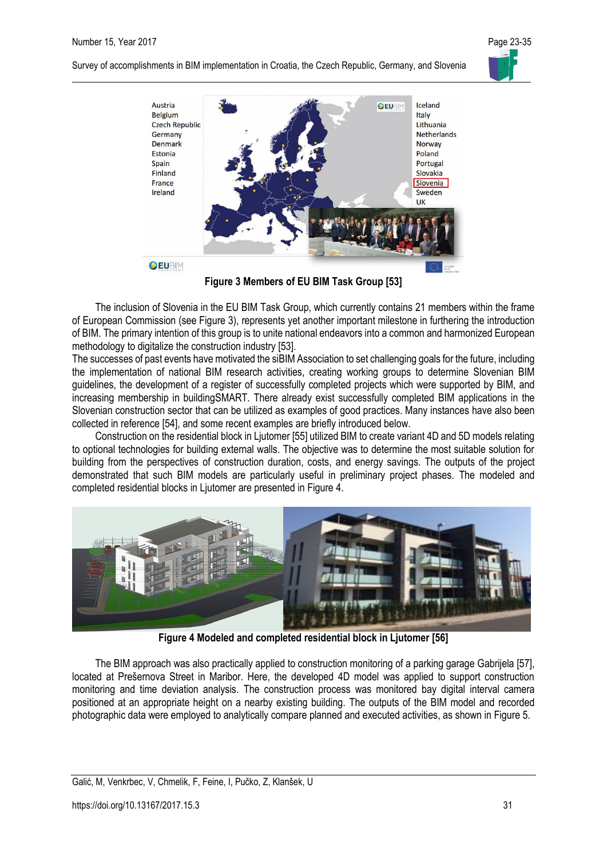



**Figure 3 Members of EU BIM Task Group [53]**

The inclusion of Slovenia in the EU BIM Task Group, which currently contains 21 members within the frame of European Commission (see Figure 3), represents yet another important milestone in furthering the introduction of BIM. The primary intention of this group is to unite national endeavors into a common and harmonized European methodology to digitalize the construction industry [53].

The successes of past events have motivated the siBIM Association to set challenging goals for the future, including the implementation of national BIM research activities, creating working groups to determine Slovenian BIM guidelines, the development of a register of successfully completed projects which were supported by BIM, and increasing membership in buildingSMART. There already exist successfully completed BIM applications in the Slovenian construction sector that can be utilized as examples of good practices. Many instances have also been collected in reference [54], and some recent examples are briefly introduced below.

Construction on the residential block in Ljutomer [55] utilized BIM to create variant 4D and 5D models relating to optional technologies for building external walls. The objective was to determine the most suitable solution for building from the perspectives of construction duration, costs, and energy savings. The outputs of the project demonstrated that such BIM models are particularly useful in preliminary project phases. The modeled and completed residential blocks in Ljutomer are presented in Figure 4.



**Figure 4 Modeled and completed residential block in Ljutomer [56]**

The BIM approach was also practically applied to construction monitoring of a parking garage Gabrijela [57], located at Prešernova Street in Maribor. Here, the developed 4D model was applied to support construction monitoring and time deviation analysis. The construction process was monitored bay digital interval camera positioned at an appropriate height on a nearby existing building. The outputs of the BIM model and recorded photographic data were employed to analytically compare planned and executed activities, as shown in Figure 5.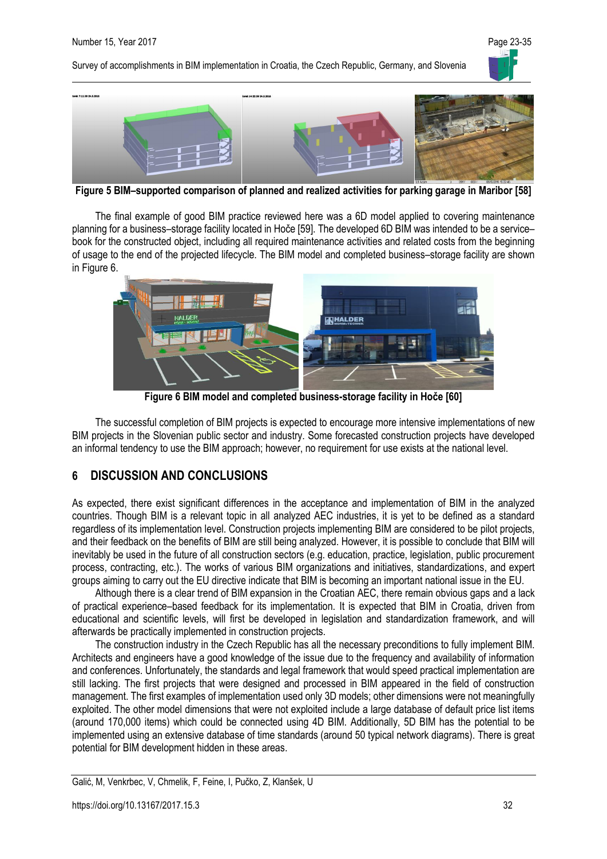



**Figure 5 BIM–supported comparison of planned and realized activities for parking garage in Maribor [58]**

The final example of good BIM practice reviewed here was a 6D model applied to covering maintenance planning for a business–storage facility located in Hoče [59]. The developed 6D BIM was intended to be a service– book for the constructed object, including all required maintenance activities and related costs from the beginning of usage to the end of the projected lifecycle. The BIM model and completed business–storage facility are shown in Figure 6.



**Figure 6 BIM model and completed business-storage facility in Hoče [60]**

The successful completion of BIM projects is expected to encourage more intensive implementations of new BIM projects in the Slovenian public sector and industry. Some forecasted construction projects have developed an informal tendency to use the BIM approach; however, no requirement for use exists at the national level.

### **6 DISCUSSION AND CONCLUSIONS**

As expected, there exist significant differences in the acceptance and implementation of BIM in the analyzed countries. Though BIM is a relevant topic in all analyzed AEC industries, it is yet to be defined as a standard regardless of its implementation level. Construction projects implementing BIM are considered to be pilot projects, and their feedback on the benefits of BIM are still being analyzed. However, it is possible to conclude that BIM will inevitably be used in the future of all construction sectors (e.g. education, practice, legislation, public procurement process, contracting, etc.). The works of various BIM organizations and initiatives, standardizations, and expert groups aiming to carry out the EU directive indicate that BIM is becoming an important national issue in the EU.

Although there is a clear trend of BIM expansion in the Croatian AEC, there remain obvious gaps and a lack of practical experience–based feedback for its implementation. It is expected that BIM in Croatia, driven from educational and scientific levels, will first be developed in legislation and standardization framework, and will afterwards be practically implemented in construction projects.

The construction industry in the Czech Republic has all the necessary preconditions to fully implement BIM. Architects and engineers have a good knowledge of the issue due to the frequency and availability of information and conferences. Unfortunately, the standards and legal framework that would speed practical implementation are still lacking. The first projects that were designed and processed in BIM appeared in the field of construction management. The first examples of implementation used only 3D models; other dimensions were not meaningfully exploited. The other model dimensions that were not exploited include a large database of default price list items (around 170,000 items) which could be connected using 4D BIM. Additionally, 5D BIM has the potential to be implemented using an extensive database of time standards (around 50 typical network diagrams). There is great potential for BIM development hidden in these areas.

Galić, M, Venkrbec, V, Chmelik, F, Feine, I, Pučko, Z, Klanšek, U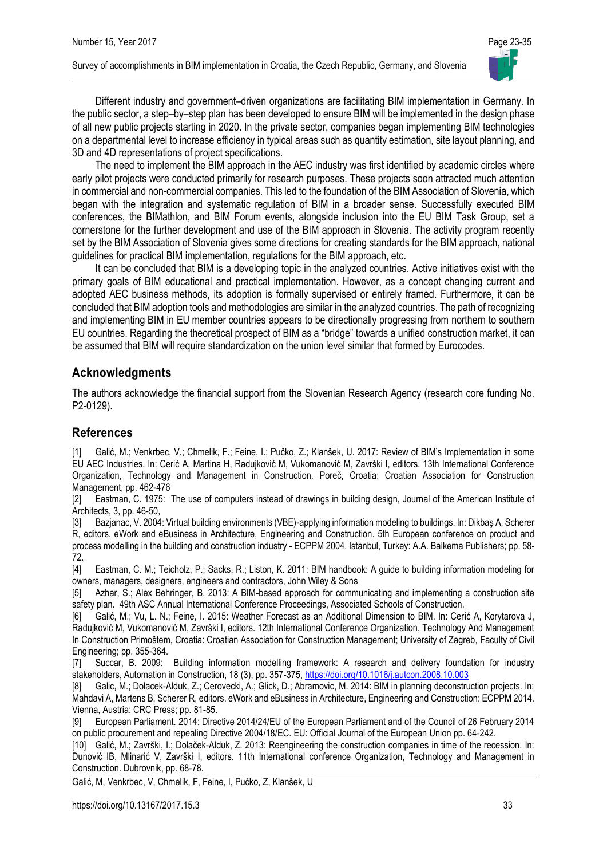

Different industry and government–driven organizations are facilitating BIM implementation in Germany. In the public sector, a step–by–step plan has been developed to ensure BIM will be implemented in the design phase of all new public projects starting in 2020. In the private sector, companies began implementing BIM technologies on a departmental level to increase efficiency in typical areas such as quantity estimation, site layout planning, and 3D and 4D representations of project specifications.

The need to implement the BIM approach in the AEC industry was first identified by academic circles where early pilot projects were conducted primarily for research purposes. These projects soon attracted much attention in commercial and non-commercial companies. This led to the foundation of the BIM Association of Slovenia, which began with the integration and systematic regulation of BIM in a broader sense. Successfully executed BIM conferences, the BIMathlon, and BIM Forum events, alongside inclusion into the EU BIM Task Group, set a cornerstone for the further development and use of the BIM approach in Slovenia. The activity program recently set by the BIM Association of Slovenia gives some directions for creating standards for the BIM approach, national guidelines for practical BIM implementation, regulations for the BIM approach, etc.

It can be concluded that BIM is a developing topic in the analyzed countries. Active initiatives exist with the primary goals of BIM educational and practical implementation. However, as a concept changing current and adopted AEC business methods, its adoption is formally supervised or entirely framed. Furthermore, it can be concluded that BIM adoption tools and methodologies are similar in the analyzed countries. The path of recognizing and implementing BIM in EU member countries appears to be directionally progressing from northern to southern EU countries. Regarding the theoretical prospect of BIM as a "bridge" towards a unified construction market, it can be assumed that BIM will require standardization on the union level similar that formed by Eurocodes.

#### **Acknowledgments**

The authors acknowledge the financial support from the Slovenian Research Agency (research core funding No. P2-0129).

#### **References**

[1] Galić, M.; Venkrbec, V.; Chmelik, F.; Feine, I.; Pučko, Z.; Klanšek, U. 2017: Review of BIM's Implementation in some EU AEC Industries. In: Cerić A, Martina H, Radujković M, Vukomanović M, Završki I, editors. 13th International Conference Organization, Technology and Management in Construction. Poreč, Croatia: Croatian Association for Construction Management, pp. 462-476

[2] Eastman, C. 1975: The use of computers instead of drawings in building design, Journal of the American Institute of Architects, 3, pp. 46-50,

[3] Bazjanac, V. 2004: Virtual building environments (VBE)-applying information modeling to buildings. In: Dikbaş A, Scherer R, editors. eWork and eBusiness in Architecture, Engineering and Construction. 5th European conference on product and process modelling in the building and construction industry - ECPPM 2004. Istanbul, Turkey: A.A. Balkema Publishers; pp. 58- 72.

[4] Eastman, C. M.; Teicholz, P.; Sacks, R.; Liston, K. 2011: BIM handbook: A guide to building information modeling for owners, managers, designers, engineers and contractors, John Wiley & Sons

[5] Azhar, S.; Alex Behringer, B. 2013: A BIM-based approach for communicating and implementing a construction site safety plan. 49th ASC Annual International Conference Proceedings, Associated Schools of Construction.

[6] Galić, M.; Vu, L. N.; Feine, I. 2015: Weather Forecast as an Additional Dimension to BIM. In: Cerić A, Korytarova J, Radujković M, Vukomanović M, Završki I, editors. 12th International Conference Organization, Technology And Management In Construction Primoštem, Croatia: Croatian Association for Construction Management; University of Zagreb, Faculty of Civil Engineering; pp. 355-364.

[7] Succar, B. 2009: Building information modelling framework: A research and delivery foundation for industry stakeholders, Automation in Construction, 18 (3), pp. 357-375[, https://doi.org/10.1016/j.autcon.2008.10.003](https://doi.org/10.1016/j.autcon.2008.10.003)

[8] Galic, M.; Dolacek-Alduk, Z.; Cerovecki, A.; Glick, D.; Abramovic, M. 2014: BIM in planning deconstruction projects. In: Mahdavi A, Martens B, Scherer R, editors. eWork and eBusiness in Architecture, Engineering and Construction: ECPPM 2014. Vienna, Austria: CRC Press; pp. 81-85.

[9] European Parliament. 2014: Directive 2014/24/EU of the European Parliament and of the Council of 26 February 2014 on public procurement and repealing Directive 2004/18/EC. EU: Official Journal of the European Union pp. 64-242.

[10] Galić, M.; Završki, I.; Dolaček-Alduk, Z. 2013: Reengineering the construction companies in time of the recession. In: Dunović IB, Mlinarić V, Završki I, editors. 11th International conference Organization, Technology and Management in Construction. Dubrovnik, pp. 68-78.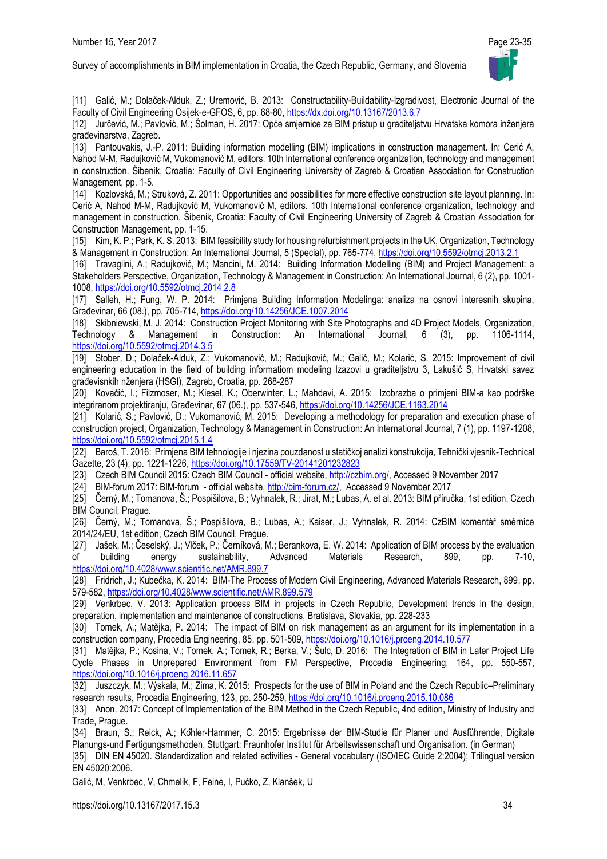

[11] Galić, M.; Dolaček-Alduk, Z.; Uremović, B. 2013: Constructability-Buildability-Izgradivost, Electronic Journal of the Faculty of Civil Engineering Osijek-e-GFOS, 6, pp. 68-80, <https://dx.doi.org/10.13167/2013.6.7>

[12] Jurčević, M.; Pavlović, M.; Šolman, H. 2017: Opće smjernice za BIM pristup u graditeljstvu Hrvatska komora inženjera građevinarstva, Zagreb.

[13] Pantouvakis, J.-P. 2011: Building information modelling (BIM) implications in construction management. In: Cerić A, Nahod M-M, Radujković M, Vukomanović M, editors. 10th International conference organization, technology and management in construction. Šibenik, Croatia: Faculty of Civil Engineering University of Zagreb & Croatian Association for Construction Management, pp. 1-5.

[14] Kozlovská, M.; Struková, Z. 2011: Opportunities and possibilities for more effective construction site layout planning. In: Cerić A, Nahod M-M, Radujković M, Vukomanović M, editors. 10th International conference organization, technology and management in construction. Šibenik, Croatia: Faculty of Civil Engineering University of Zagreb & Croatian Association for Construction Management, pp. 1-15.

[15] Kim, K. P.; Park, K. S. 2013: BIM feasibility study for housing refurbishment projects in the UK, Organization, Technology & Management in Construction: An International Journal, 5 (Special), pp. 765-774[, https://doi.org/10.5592/otmcj.2013.2.1](https://doi.org/10.5592/otmcj.2013.2.1)

[16] Travaglini, A.; Radujković, M.; Mancini, M. 2014: Building Information Modelling (BIM) and Project Management: a Stakeholders Perspective, Organization, Technology & Management in Construction: An International Journal, 6 (2), pp. 1001- 1008[, https://doi.org/10.5592/otmcj.2014.2.8](https://doi.org/10.5592/otmcj.2014.2.8)

[17] Salleh, H.; Fung, W. P. 2014: Primjena Building Information Modelinga: analiza na osnovi interesnih skupina, Građevinar, 66 (08.), pp. 705-714, <https://doi.org/10.14256/JCE.1007.2014>

[18] Skibniewski, M. J. 2014: Construction Project Monitoring with Site Photographs and 4D Project Models, Organization, Technology & Management in Construction: An International Journal, 6 (3), pp. 1106-1114, <https://doi.org/10.5592/otmcj.2014.3.5>

[19] Stober, D.; Dolaček-Alduk, Z.; Vukomanović, M.; Radujković, M.; Galić, M.; Kolarić, S. 2015: Improvement of civil engineering education in the field of building informatiom modeling Izazovi u graditeljstvu 3, Lakušić S, Hrvatski savez građevisnkih nženjera (HSGI), Zagreb, Croatia, pp. 268-287

[20] Kovačić, I.; Filzmoser, M.; Kiesel, K.; Oberwinter, L.; Mahdavi, A. 2015: Izobrazba o primjeni BIM-a kao podrške integriranom projektiranju, Građevinar, 67 (06.), pp. 537-546[, https://doi.org/10.14256/JCE.1163.2014](https://doi.org/10.14256/JCE.1163.2014) 

[21] Kolarić, S.; Pavlović, D.; Vukomanović, M. 2015: Developing a methodology for preparation and execution phase of construction project, Organization, Technology & Management in Construction: An International Journal, 7 (1), pp. 1197-1208, <https://doi.org/10.5592/otmcj.2015.1.4>

[22] Baroš, T. 2016: Primjena BIM tehnologije i njezina pouzdanost u statičkoj analizi konstrukcija, Tehnički vjesnik-Technical Gazette, 23 (4), pp. 1221-1226[, https://doi.org/10.17559/TV-20141201232823](https://doi.org/10.17559/TV-20141201232823)

[23] Czech BIM Council 2015: Czech BIM Council - official website, [http://czbim.org/,](http://czbim.org/) Accessed 9 November 2017

[24] BIM-forum 2017: BIM-forum - official website[, http://bim-forum.cz/,](http://bim-forum.cz/) Accessed 9 November 2017

[25] Černý, M.; Tomanova, Š.; Pospišilova, B.; Vyhnalek, R.; Jirat, M.; Lubas, A. et al. 2013: BIM příručka, 1st edition, Czech BIM Council, Prague.

[26] Černý, M.; Tomanova, Š.; Pospišilova, B.; Lubas, A.; Kaiser, J.; Vyhnalek, R. 2014: CzBIM komentář směrnice 2014/24/EU, 1st edition, Czech BIM Council, Prague.

[27] Jašek, M.; Česelský, J.; Vlček, P.; Černíková, M.; Berankova, E. W. 2014: Application of BIM process by the evaluation<br>of building energy sustainability, Advanced Materials Research, 899, pp. 7-10, of building energy sustainability, Advanced Materials Research, 899, pp. 7-10, <https://doi.org/10.4028/www.scientific.net/AMR.899.7>

[28] Fridrich, J.; Kubečka, K. 2014: BIM-The Process of Modern Civil Engineering, Advanced Materials Research, 899, pp. 579-582[, https://doi.org/10.4028/www.scientific.net/AMR.899.579](https://doi.org/10.4028/www.scientific.net/AMR.899.579)

[29] Venkrbec, V. 2013: Application process BIM in projects in Czech Republic, Development trends in the design, preparation, implementation and maintenance of constructions, Bratislava, Slovakia, pp. 228-233

[30] Tomek, A.; Matějka, P. 2014: The impact of BIM on risk management as an argument for its implementation in a construction company, Procedia Engineering, 85, pp. 501-509,<https://doi.org/10.1016/j.proeng.2014.10.577>

[31] Matějka, P.; Kosina, V.; Tomek, A.; Tomek, R.; Berka, V.; Šulc, D. 2016: The Integration of BIM in Later Project Life Cycle Phases in Unprepared Environment from FM Perspective, Procedia Engineering, 164, pp. 550-557, <https://doi.org/10.1016/j.proeng.2016.11.657>

[32] Juszczyk, M.; Výskala, M.; Zima, K. 2015: Prospects for the use of BIM in Poland and the Czech Republic–Preliminary research results, Procedia Engineering, 123, pp. 250-259[, https://doi.org/10.1016/j.proeng.2015.10.086](https://doi.org/10.1016/j.proeng.2015.10.086)

[33] Anon. 2017: Concept of Implementation of the BIM Method in the Czech Republic, 4nd edition, Ministry of Industry and Trade, Prague.

[34] Braun, S.; Reick, A.; Köhler-Hammer, C. 2015: Ergebnisse der BIM-Studie für Planer und Ausführende, Digitale Planungs-und Fertigungsmethoden. Stuttgart: Fraunhofer Institut für Arbeitswissenschaft und Organisation. (in German)

[35] DIN EN 45020. Standardization and related activities - General vocabulary (ISO/IEC Guide 2:2004); Trilingual version EN 45020:2006.